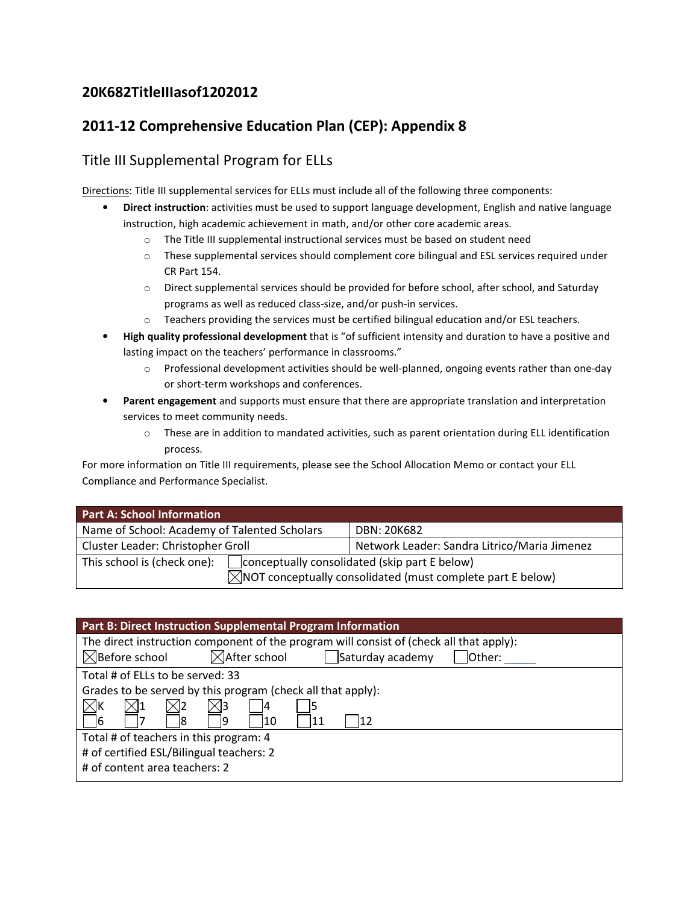## 20K682TitleIIIasof1202012

# 2011-12 Comprehensive Education Plan (CEP): Appendix 8

## Title III Supplemental Program for ELLs

Directions: Title III supplemental services for ELLs must include all of the following three components:

- Direct instruction: activities must be used to support language development, English and native language instruction, high academic achievement in math, and/or other core academic areas.
	- o The Title III supplemental instructional services must be based on student need
	- $\circ$  These supplemental services should complement core bilingual and ESL services required under CR Part 154.
	- o Direct supplemental services should be provided for before school, after school, and Saturday programs as well as reduced class-size, and/or push-in services.
	- o Teachers providing the services must be certified bilingual education and/or ESL teachers.
- High quality professional development that is "of sufficient intensity and duration to have a positive and lasting impact on the teachers' performance in classrooms."
	- o Professional development activities should be well-planned, ongoing events rather than one-day or short-term workshops and conferences.
- Parent engagement and supports must ensure that there are appropriate translation and interpretation services to meet community needs.
	- $\circ$  These are in addition to mandated activities, such as parent orientation during ELL identification process.

For more information on Title III requirements, please see the School Allocation Memo or contact your ELL Compliance and Performance Specialist.

| <b>Part A: School Information</b>            |                                                                                                                         |  |
|----------------------------------------------|-------------------------------------------------------------------------------------------------------------------------|--|
| Name of School: Academy of Talented Scholars | DBN: 20K682                                                                                                             |  |
| Cluster Leader: Christopher Groll            | Network Leader: Sandra Litrico/Maria Jimenez                                                                            |  |
| This school is (check one):                  | conceptually consolidated (skip part E below)<br>$\boxtimes$ NOT conceptually consolidated (must complete part E below) |  |

| Part B: Direct Instruction Supplemental Program Information                             |  |  |  |
|-----------------------------------------------------------------------------------------|--|--|--|
| The direct instruction component of the program will consist of (check all that apply): |  |  |  |
| $\boxtimes$ After school<br>Saturday academy<br>$\boxtimes$ Before school<br>Other:     |  |  |  |
| Total # of ELLs to be served: 33                                                        |  |  |  |
| Grades to be served by this program (check all that apply):                             |  |  |  |
| $\boxtimes$ k                                                                           |  |  |  |
| 10<br>16<br>12<br>19<br>11                                                              |  |  |  |
| Total # of teachers in this program: 4                                                  |  |  |  |
| # of certified ESL/Bilingual teachers: 2                                                |  |  |  |
| # of content area teachers: 2                                                           |  |  |  |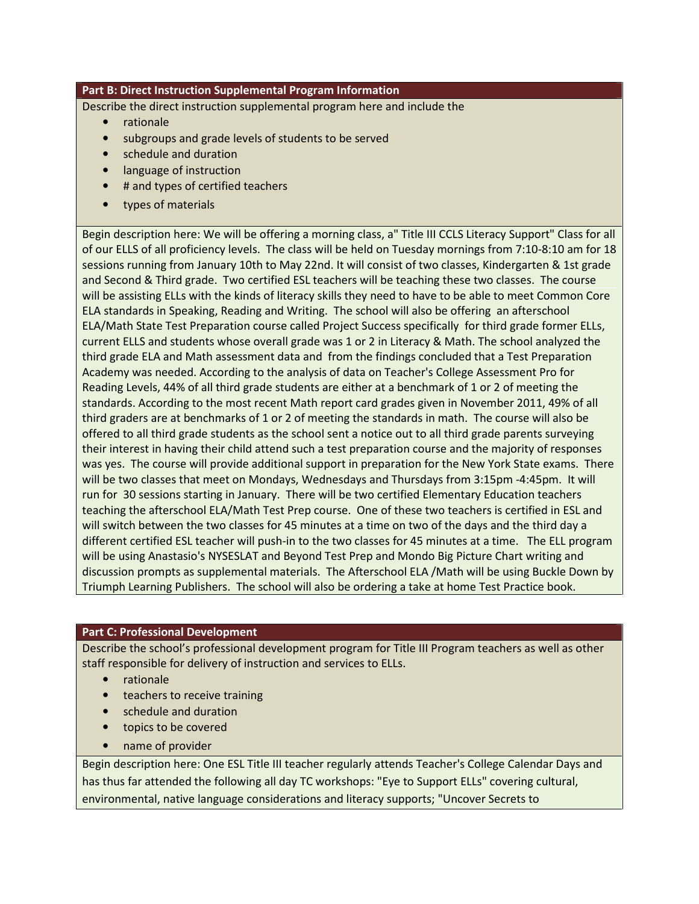### Part B: Direct Instruction Supplemental Program Information

Describe the direct instruction supplemental program here and include the

- rationale
- subgroups and grade levels of students to be served
- schedule and duration
- language of instruction
- # and types of certified teachers
- types of materials

Begin description here: We will be offering a morning class, a" Title III CCLS Literacy Support" Class for all of our ELLS of all proficiency levels. The class will be held on Tuesday mornings from 7:10-8:10 am for 18 sessions running from January 10th to May 22nd. It will consist of two classes, Kindergarten & 1st grade and Second & Third grade. Two certified ESL teachers will be teaching these two classes. The course will be assisting ELLs with the kinds of literacy skills they need to have to be able to meet Common Core ELA standards in Speaking, Reading and Writing. The school will also be offering an afterschool ELA/Math State Test Preparation course called Project Success specifically for third grade former ELLs, current ELLS and students whose overall grade was 1 or 2 in Literacy & Math. The school analyzed the third grade ELA and Math assessment data and from the findings concluded that a Test Preparation Academy was needed. According to the analysis of data on Teacher's College Assessment Pro for Reading Levels, 44% of all third grade students are either at a benchmark of 1 or 2 of meeting the standards. According to the most recent Math report card grades given in November 2011, 49% of all third graders are at benchmarks of 1 or 2 of meeting the standards in math. The course will also be offered to all third grade students as the school sent a notice out to all third grade parents surveying their interest in having their child attend such a test preparation course and the majority of responses was yes. The course will provide additional support in preparation for the New York State exams. There will be two classes that meet on Mondays, Wednesdays and Thursdays from 3:15pm -4:45pm. It will run for 30 sessions starting in January. There will be two certified Elementary Education teachers teaching the afterschool ELA/Math Test Prep course. One of these two teachers is certified in ESL and will switch between the two classes for 45 minutes at a time on two of the days and the third day a different certified ESL teacher will push-in to the two classes for 45 minutes at a time. The ELL program will be using Anastasio's NYSESLAT and Beyond Test Prep and Mondo Big Picture Chart writing and discussion prompts as supplemental materials. The Afterschool ELA /Math will be using Buckle Down by Triumph Learning Publishers. The school will also be ordering a take at home Test Practice book.

### Part C: Professional Development

Describe the school's professional development program for Title III Program teachers as well as other staff responsible for delivery of instruction and services to ELLs.

- rationale
- teachers to receive training
- schedule and duration
- topics to be covered
- name of provider

Begin description here: One ESL Title III teacher regularly attends Teacher's College Calendar Days and has thus far attended the following all day TC workshops: "Eye to Support ELLs" covering cultural, environmental, native language considerations and literacy supports; "Uncover Secrets to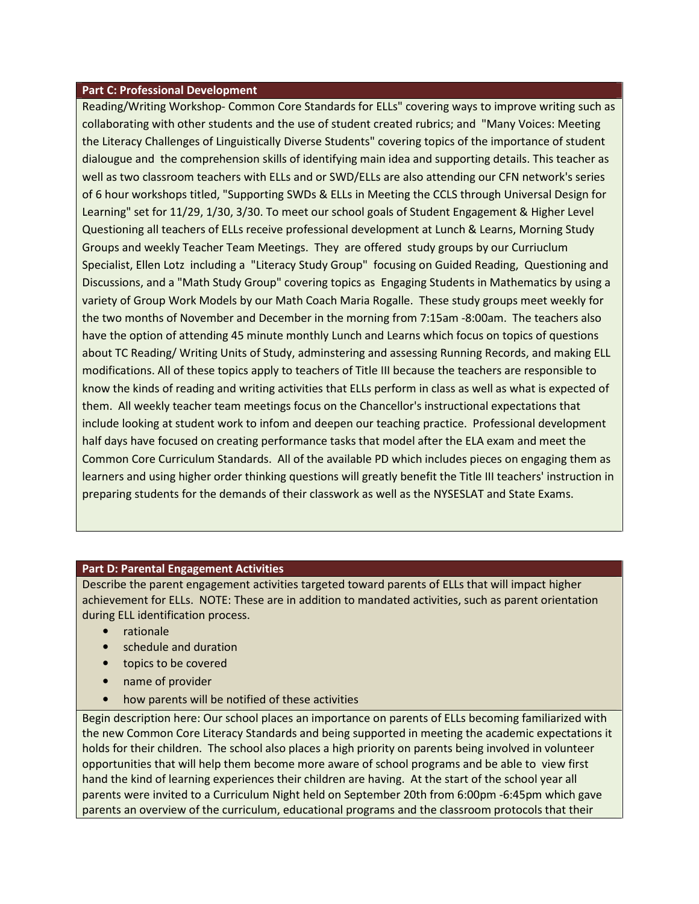#### Part C: Professional Development

Reading/Writing Workshop- Common Core Standards for ELLs" covering ways to improve writing such as collaborating with other students and the use of student created rubrics; and "Many Voices: Meeting the Literacy Challenges of Linguistically Diverse Students" covering topics of the importance of student dialougue and the comprehension skills of identifying main idea and supporting details. This teacher as well as two classroom teachers with ELLs and or SWD/ELLs are also attending our CFN network's series of 6 hour workshops titled, "Supporting SWDs & ELLs in Meeting the CCLS through Universal Design for Learning" set for 11/29, 1/30, 3/30. To meet our school goals of Student Engagement & Higher Level Questioning all teachers of ELLs receive professional development at Lunch & Learns, Morning Study Groups and weekly Teacher Team Meetings. They are offered study groups by our Curriuclum Specialist, Ellen Lotz including a "Literacy Study Group" focusing on Guided Reading, Questioning and Discussions, and a "Math Study Group" covering topics as Engaging Students in Mathematics by using a variety of Group Work Models by our Math Coach Maria Rogalle. These study groups meet weekly for the two months of November and December in the morning from 7:15am -8:00am. The teachers also have the option of attending 45 minute monthly Lunch and Learns which focus on topics of questions about TC Reading/ Writing Units of Study, adminstering and assessing Running Records, and making ELL modifications. All of these topics apply to teachers of Title III because the teachers are responsible to know the kinds of reading and writing activities that ELLs perform in class as well as what is expected of them. All weekly teacher team meetings focus on the Chancellor's instructional expectations that include looking at student work to infom and deepen our teaching practice. Professional development half days have focused on creating performance tasks that model after the ELA exam and meet the Common Core Curriculum Standards. All of the available PD which includes pieces on engaging them as learners and using higher order thinking questions will greatly benefit the Title III teachers' instruction in preparing students for the demands of their classwork as well as the NYSESLAT and State Exams.

### Part D: Parental Engagement Activities

Describe the parent engagement activities targeted toward parents of ELLs that will impact higher achievement for ELLs. NOTE: These are in addition to mandated activities, such as parent orientation during ELL identification process.

- rationale
- schedule and duration
- topics to be covered
- name of provider
- how parents will be notified of these activities

Begin description here: Our school places an importance on parents of ELLs becoming familiarized with the new Common Core Literacy Standards and being supported in meeting the academic expectations it holds for their children. The school also places a high priority on parents being involved in volunteer opportunities that will help them become more aware of school programs and be able to view first hand the kind of learning experiences their children are having. At the start of the school year all parents were invited to a Curriculum Night held on September 20th from 6:00pm -6:45pm which gave parents an overview of the curriculum, educational programs and the classroom protocols that their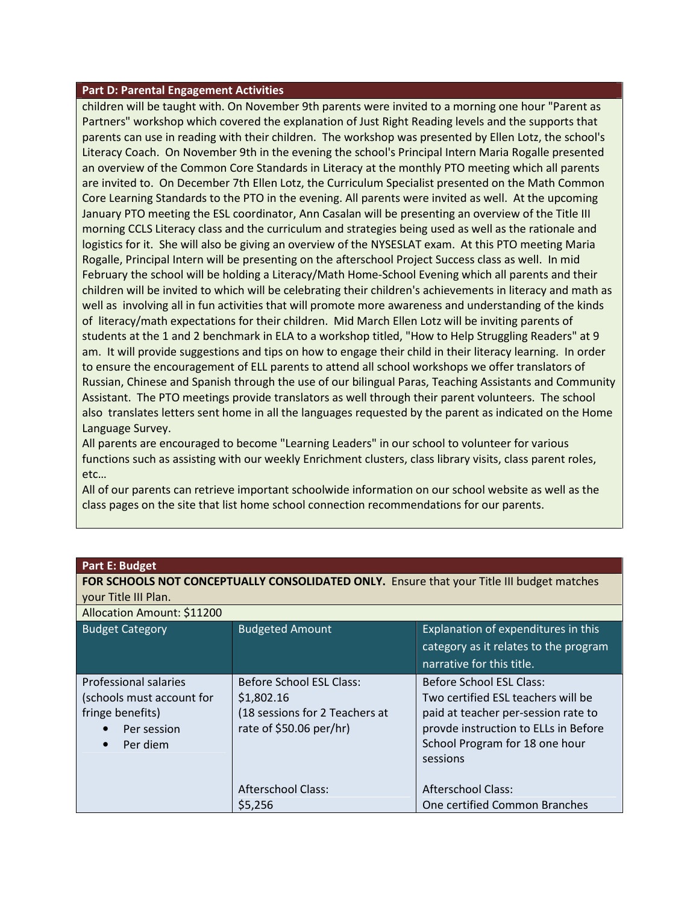#### Part D: Parental Engagement Activities

children will be taught with. On November 9th parents were invited to a morning one hour "Parent as Partners" workshop which covered the explanation of Just Right Reading levels and the supports that parents can use in reading with their children. The workshop was presented by Ellen Lotz, the school's Literacy Coach. On November 9th in the evening the school's Principal Intern Maria Rogalle presented an overview of the Common Core Standards in Literacy at the monthly PTO meeting which all parents are invited to. On December 7th Ellen Lotz, the Curriculum Specialist presented on the Math Common Core Learning Standards to the PTO in the evening. All parents were invited as well. At the upcoming January PTO meeting the ESL coordinator, Ann Casalan will be presenting an overview of the Title III morning CCLS Literacy class and the curriculum and strategies being used as well as the rationale and logistics for it. She will also be giving an overview of the NYSESLAT exam. At this PTO meeting Maria Rogalle, Principal Intern will be presenting on the afterschool Project Success class as well. In mid February the school will be holding a Literacy/Math Home-School Evening which all parents and their children will be invited to which will be celebrating their children's achievements in literacy and math as well as involving all in fun activities that will promote more awareness and understanding of the kinds of literacy/math expectations for their children. Mid March Ellen Lotz will be inviting parents of students at the 1 and 2 benchmark in ELA to a workshop titled, "How to Help Struggling Readers" at 9 am. It will provide suggestions and tips on how to engage their child in their literacy learning. In order to ensure the encouragement of ELL parents to attend all school workshops we offer translators of Russian, Chinese and Spanish through the use of our bilingual Paras, Teaching Assistants and Community Assistant. The PTO meetings provide translators as well through their parent volunteers. The school also translates letters sent home in all the languages requested by the parent as indicated on the Home Language Survey.

All parents are encouraged to become "Learning Leaders" in our school to volunteer for various functions such as assisting with our weekly Enrichment clusters, class library visits, class parent roles, etc…

All of our parents can retrieve important schoolwide information on our school website as well as the class pages on the site that list home school connection recommendations for our parents.

| <b>Part E: Budget</b>                                                                                          |                                                                                                            |                                                                                                                                                                                             |  |  |
|----------------------------------------------------------------------------------------------------------------|------------------------------------------------------------------------------------------------------------|---------------------------------------------------------------------------------------------------------------------------------------------------------------------------------------------|--|--|
| FOR SCHOOLS NOT CONCEPTUALLY CONSOLIDATED ONLY. Ensure that your Title III budget matches                      |                                                                                                            |                                                                                                                                                                                             |  |  |
| your Title III Plan.                                                                                           |                                                                                                            |                                                                                                                                                                                             |  |  |
| Allocation Amount: \$11200                                                                                     |                                                                                                            |                                                                                                                                                                                             |  |  |
| <b>Budget Category</b>                                                                                         | <b>Budgeted Amount</b>                                                                                     | Explanation of expenditures in this                                                                                                                                                         |  |  |
|                                                                                                                |                                                                                                            | category as it relates to the program                                                                                                                                                       |  |  |
|                                                                                                                |                                                                                                            | narrative for this title.                                                                                                                                                                   |  |  |
| Professional salaries<br>(schools must account for<br>fringe benefits)<br>Per session<br>Per diem<br>$\bullet$ | <b>Before School ESL Class:</b><br>\$1,802.16<br>(18 sessions for 2 Teachers at<br>rate of \$50.06 per/hr) | Before School ESL Class:<br>Two certified ESL teachers will be<br>paid at teacher per-session rate to<br>provde instruction to ELLs in Before<br>School Program for 18 one hour<br>sessions |  |  |
|                                                                                                                | Afterschool Class:<br>\$5,256                                                                              | Afterschool Class:<br>One certified Common Branches                                                                                                                                         |  |  |